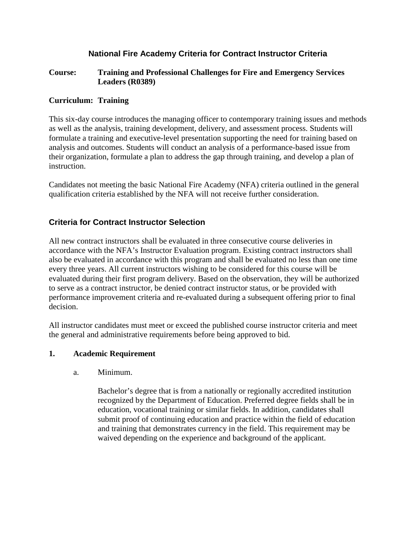# **National Fire Academy Criteria for Contract Instructor Criteria**

### **Course: Training and Professional Challenges for Fire and Emergency Services Leaders (R0389)**

### **Curriculum: Training**

This six-day course introduces the managing officer to contemporary training issues and methods as well as the analysis, training development, delivery, and assessment process. Students will formulate a training and executive-level presentation supporting the need for training based on analysis and outcomes. Students will conduct an analysis of a performance-based issue from their organization, formulate a plan to address the gap through training, and develop a plan of instruction.

Candidates not meeting the basic National Fire Academy (NFA) criteria outlined in the general qualification criteria established by the NFA will not receive further consideration.

## **Criteria for Contract Instructor Selection**

All new contract instructors shall be evaluated in three consecutive course deliveries in accordance with the NFA's Instructor Evaluation program. Existing contract instructors shall also be evaluated in accordance with this program and shall be evaluated no less than one time every three years. All current instructors wishing to be considered for this course will be evaluated during their first program delivery. Based on the observation, they will be authorized to serve as a contract instructor, be denied contract instructor status, or be provided with performance improvement criteria and re-evaluated during a subsequent offering prior to final decision.

All instructor candidates must meet or exceed the published course instructor criteria and meet the general and administrative requirements before being approved to bid.

#### **1. Academic Requirement**

a. Minimum.

Bachelor's degree that is from a nationally or regionally accredited institution recognized by the Department of Education. Preferred degree fields shall be in education, vocational training or similar fields. In addition, candidates shall submit proof of continuing education and practice within the field of education and training that demonstrates currency in the field. This requirement may be waived depending on the experience and background of the applicant.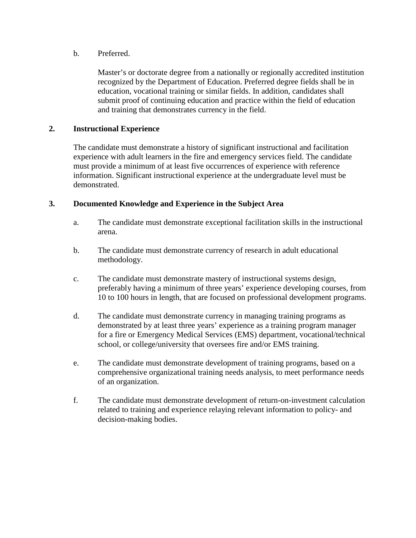### b. Preferred.

Master's or doctorate degree from a nationally or regionally accredited institution recognized by the Department of Education. Preferred degree fields shall be in education, vocational training or similar fields. In addition, candidates shall submit proof of continuing education and practice within the field of education and training that demonstrates currency in the field.

### **2. Instructional Experience**

The candidate must demonstrate a history of significant instructional and facilitation experience with adult learners in the fire and emergency services field. The candidate must provide a minimum of at least five occurrences of experience with reference information. Significant instructional experience at the undergraduate level must be demonstrated.

### **3. Documented Knowledge and Experience in the Subject Area**

- a. The candidate must demonstrate exceptional facilitation skills in the instructional arena.
- b. The candidate must demonstrate currency of research in adult educational methodology.
- c. The candidate must demonstrate mastery of instructional systems design, preferably having a minimum of three years' experience developing courses, from 10 to 100 hours in length, that are focused on professional development programs.
- d. The candidate must demonstrate currency in managing training programs as demonstrated by at least three years' experience as a training program manager for a fire or Emergency Medical Services (EMS) department, vocational/technical school, or college/university that oversees fire and/or EMS training.
- e. The candidate must demonstrate development of training programs, based on a comprehensive organizational training needs analysis, to meet performance needs of an organization.
- f. The candidate must demonstrate development of return-on-investment calculation related to training and experience relaying relevant information to policy- and decision-making bodies.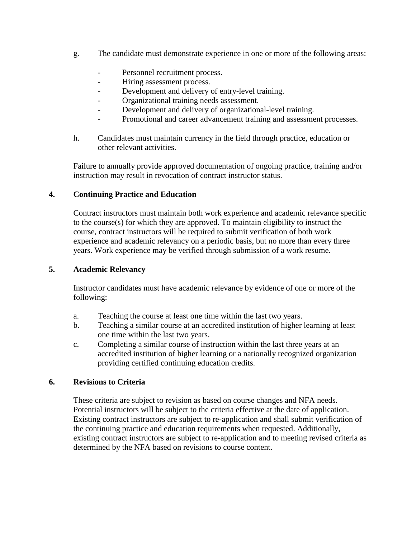- g. The candidate must demonstrate experience in one or more of the following areas:
	- Personnel recruitment process.
	- Hiring assessment process.
	- Development and delivery of entry-level training.
	- Organizational training needs assessment.
	- Development and delivery of organizational-level training.
	- Promotional and career advancement training and assessment processes.
- h. Candidates must maintain currency in the field through practice, education or other relevant activities.

Failure to annually provide approved documentation of ongoing practice, training and/or instruction may result in revocation of contract instructor status.

#### **4. Continuing Practice and Education**

Contract instructors must maintain both work experience and academic relevance specific to the course(s) for which they are approved. To maintain eligibility to instruct the course, contract instructors will be required to submit verification of both work experience and academic relevancy on a periodic basis, but no more than every three years. Work experience may be verified through submission of a work resume.

#### **5. Academic Relevancy**

Instructor candidates must have academic relevance by evidence of one or more of the following:

- a. Teaching the course at least one time within the last two years.
- b. Teaching a similar course at an accredited institution of higher learning at least one time within the last two years.
- c. Completing a similar course of instruction within the last three years at an accredited institution of higher learning or a nationally recognized organization providing certified continuing education credits.

#### **6. Revisions to Criteria**

These criteria are subject to revision as based on course changes and NFA needs. Potential instructors will be subject to the criteria effective at the date of application. Existing contract instructors are subject to re-application and shall submit verification of the continuing practice and education requirements when requested. Additionally, existing contract instructors are subject to re-application and to meeting revised criteria as determined by the NFA based on revisions to course content.